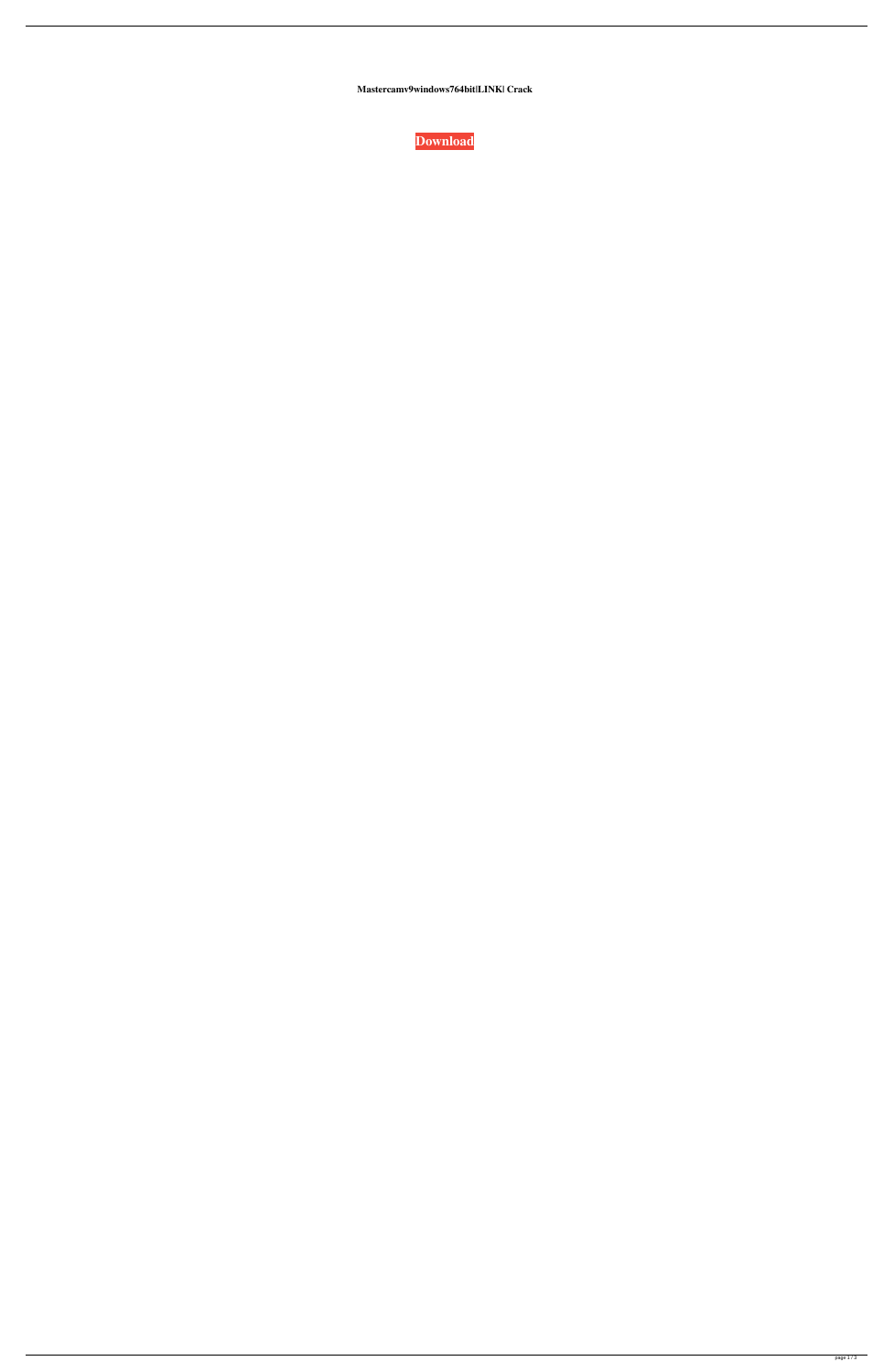**Mastercamv9windows764bit|LINK| Crack**

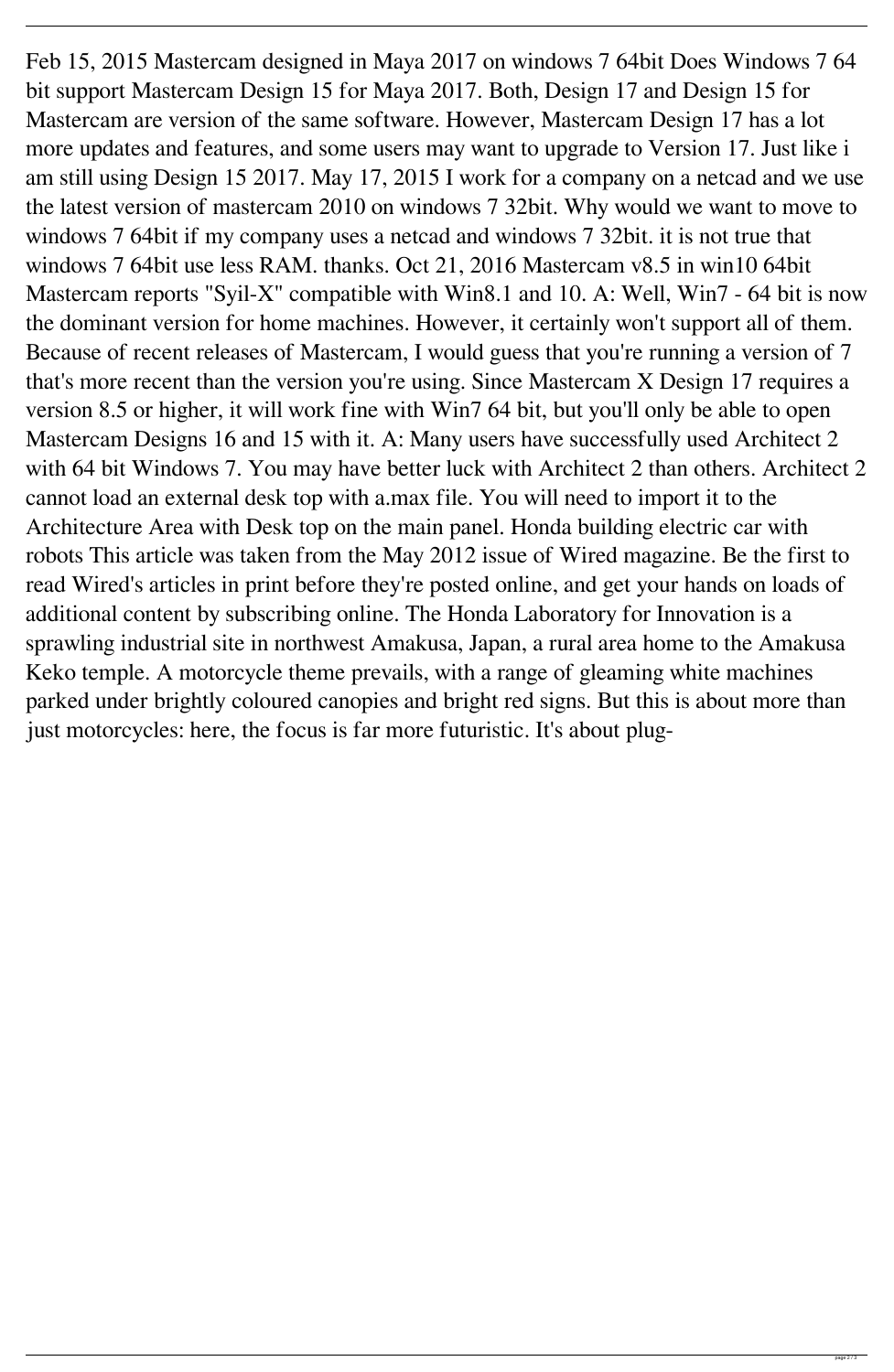Feb 15, 2015 Mastercam designed in Maya 2017 on windows 7 64bit Does Windows 7 64 bit support Mastercam Design 15 for Maya 2017. Both, Design 17 and Design 15 for Mastercam are version of the same software. However, Mastercam Design 17 has a lot more updates and features, and some users may want to upgrade to Version 17. Just like i am still using Design 15 2017. May 17, 2015 I work for a company on a netcad and we use the latest version of mastercam 2010 on windows 7 32bit. Why would we want to move to windows 7 64bit if my company uses a netcad and windows 7 32bit. it is not true that windows 7 64bit use less RAM. thanks. Oct 21, 2016 Mastercam v8.5 in win10 64bit Mastercam reports "Syil-X" compatible with Win8.1 and 10. A: Well, Win7 - 64 bit is now the dominant version for home machines. However, it certainly won't support all of them. Because of recent releases of Mastercam, I would guess that you're running a version of 7 that's more recent than the version you're using. Since Mastercam X Design 17 requires a version 8.5 or higher, it will work fine with Win7 64 bit, but you'll only be able to open Mastercam Designs 16 and 15 with it. A: Many users have successfully used Architect 2 with 64 bit Windows 7. You may have better luck with Architect 2 than others. Architect 2 cannot load an external desk top with a.max file. You will need to import it to the Architecture Area with Desk top on the main panel. Honda building electric car with robots This article was taken from the May 2012 issue of Wired magazine. Be the first to read Wired's articles in print before they're posted online, and get your hands on loads of additional content by subscribing online. The Honda Laboratory for Innovation is a sprawling industrial site in northwest Amakusa, Japan, a rural area home to the Amakusa Keko temple. A motorcycle theme prevails, with a range of gleaming white machines parked under brightly coloured canopies and bright red signs. But this is about more than just motorcycles: here, the focus is far more futuristic. It's about plug